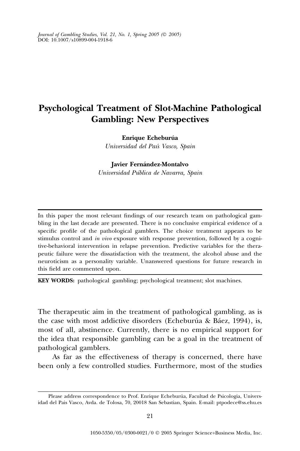Journal of Gambling Studies, Vol. 21, No. 1, Spring 2005 ( $\oslash$  2005) DOI: 10.1007/s10899-004-1918-6

# Psychological Treatment of Slot-Machine Pathological Gambling: New Perspectives

Enrique Echeburúa

Universidad del Paı´s Vasco, Spain

Javier Fernández-Montalvo

Universidad Pu´blica de Navarra, Spain

In this paper the most relevant findings of our research team on pathological gambling in the last decade are presented. There is no conclusive empirical evidence of a specific profile of the pathological gamblers. The choice treatment appears to be stimulus control and in vivo exposure with response prevention, followed by a cognitive-behavioral intervention in relapse prevention. Predictive variables for the therapeutic failure were the dissatisfaction with the treatment, the alcohol abuse and the neuroticism as a personality variable. Unanswered questions for future research in this field are commented upon.

KEY WORDS: pathological gambling; psychological treatment; slot machines.

The therapeutic aim in the treatment of pathological gambling, as is the case with most addictive disorders (Echeburúa & Báez, 1994), is, most of all, abstinence. Currently, there is no empirical support for the idea that responsible gambling can be a goal in the treatment of pathological gamblers.

As far as the effectiveness of therapy is concerned, there have been only a few controlled studies. Furthermore, most of the studies

Please address correspondence to Prof. Enrique Echeburúa, Facultad de Psicologia, Universidad del Pais Vasco, Avda. de Tolosa, 70, 20018 San Sebastian, Spain. E-mail: ptpodece@ss.ehu.es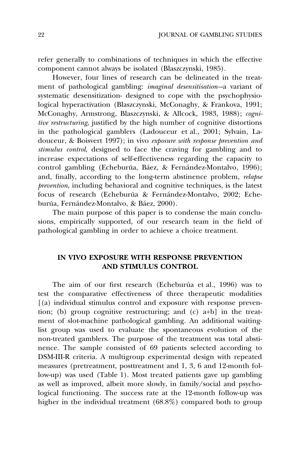refer generally to combinations of techniques in which the effective component cannot always be isolated (Blaszczynski, 1985).

However, four lines of research can be delineated in the treatment of pathological gambling: *imaginal desensitisation*-a variant of systematic desensitization- designed to cope with the psychophysiological hyperactivation (Blaszczynski, McConaghy, & Frankova, 1991; McConaghy, Armstrong, Blaszczynski, & Allcock, 1983, 1988); cognitive restructuring, justified by the high number of cognitive distortions in the pathological gamblers (Ladouceur et al., 2001; Sylvain, Ladouceur, & Boisvert 1997); in vivo exposure with response prevention and stimulus control, designed to face the craving for gambling and to increase expectations of self-effectiveness regarding the capacity to control gambling (Echeburúa, Báez, & Fernández-Montalvo, 1996); and, finally, according to the long-term abstinence problem, *relapse* prevention, including behavioral and cognitive techniques, is the latest focus of research (Echeburúa & Fernández-Montalvo, 2002; Echeburúa, Fernández-Montalvo, & Báez, 2000).

The main purpose of this paper is to condense the main conclusions, empirically supported, of our research team in the field of pathological gambling in order to achieve a choice treatment.

# IN VIVO EXPOSURE WITH RESPONSE PREVENTION AND STIMULUS CONTROL

The aim of our first research (Echeburúa et al., 1996) was to test the comparative effectiveness of three therapeutic modalities [(a) individual stimulus control and exposure with response prevention; (b) group cognitive restructuring; and (c) a+b] in the treatment of slot-machine pathological gambling. An additional waitinglist group was used to evaluate the spontaneous evolution of the non-treated gamblers. The purpose of the treatment was total abstinence. The sample consisted of 69 patients selected according to DSM-III-R criteria. A multigroup experimental design with repeated measures (pretreatment, posttreatment and 1, 3, 6 and 12-month follow-up) was used (Table 1). Most treated patients gave up gambling as well as improved, albeit more slowly, in family/social and psychological functioning. The success rate at the 12-month follow-up was higher in the individual treatment (68.8%) compared both to group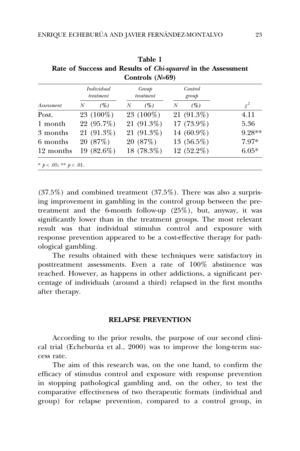| <i>Assessment</i> | Individual<br>treatment |              | Group<br>treatment |              | Control<br>group |               |          |
|-------------------|-------------------------|--------------|--------------------|--------------|------------------|---------------|----------|
|                   | N                       | (%)          | N                  | (%)          | N                | (%)           | $\chi^2$ |
| Post.             |                         | 23 (100%)    |                    | 23 (100%)    |                  | 21 (91.3%)    | 4.11     |
| 1 month           |                         | 22 (95.7%)   |                    | $21(91.3\%)$ |                  | $17(73.9\%)$  | 5.36     |
| 3 months          |                         | $21(91.3\%)$ |                    | $21(91.3\%)$ |                  | 14 (60.9%)    | 9.28**   |
| 6 months          |                         | 20 (87%)     |                    | 20 (87%)     |                  | 13 $(56.5\%)$ | $7.97*$  |
| 12 months         |                         | 19 (82.6%)   |                    | 18 (78.3%)   |                  | 12 (52.2%)    | $6.05*$  |

Table 1 Rate of Success and Results of Chi-squared in the Assessment

(37.5%) and combined treatment (37.5%). There was also a surprising improvement in gambling in the control group between the pretreatment and the 6-month follow-up (25%), but, anyway, it was significantly lower than in the treatment groups. The most relevant result was that individual stimulus control and exposure with response prevention appeared to be a cost-effective therapy for pathological gambling.

The results obtained with these techniques were satisfactory in posttreatment assessments. Even a rate of 100% abstinence was reached. However, as happens in other addictions, a significant percentage of individuals (around a third) relapsed in the first months after therapy.

## RELAPSE PREVENTION

According to the prior results, the purpose of our second clinical trial (Echeburúa et al., 2000) was to improve the long-term success rate.

The aim of this research was, on the one hand, to confirm the efficacy of stimulus control and exposure with response prevention in stopping pathological gambling and, on the other, to test the comparative effectiveness of two therapeutic formats (individual and group) for relapse prevention, compared to a control group, in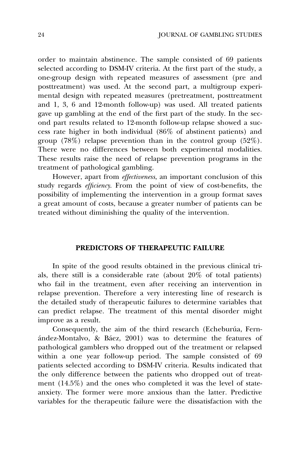order to maintain abstinence. The sample consisted of 69 patients selected according to DSM-IV criteria. At the first part of the study, a one-group design with repeated measures of assessment (pre and posttreatment) was used. At the second part, a multigroup experimental design with repeated measures (pretreatment, posttreatment and 1, 3, 6 and 12-month follow-up) was used. All treated patients gave up gambling at the end of the first part of the study. In the second part results related to 12-month follow-up relapse showed a success rate higher in both individual (86% of abstinent patients) and group (78%) relapse prevention than in the control group (52%). There were no differences between both experimental modalities. These results raise the need of relapse prevention programs in the treatment of pathological gambling.

However, apart from effectiveness, an important conclusion of this study regards efficiency. From the point of view of cost-benefits, the possibility of implementing the intervention in a group format saves a great amount of costs, because a greater number of patients can be treated without diminishing the quality of the intervention.

## PREDICTORS OF THERAPEUTIC FAILURE

In spite of the good results obtained in the previous clinical trials, there still is a considerable rate (about 20% of total patients) who fail in the treatment, even after receiving an intervention in relapse prevention. Therefore a very interesting line of research is the detailed study of therapeutic failures to determine variables that can predict relapse. The treatment of this mental disorder might improve as a result.

Consequently, the aim of the third research (Echeburúa, Ferna´ndez-Montalvo, & Ba´ez, 2001) was to determine the features of pathological gamblers who dropped out of the treatment or relapsed within a one year follow-up period. The sample consisted of 69 patients selected according to DSM-IV criteria. Results indicated that the only difference between the patients who dropped out of treatment (14.5%) and the ones who completed it was the level of stateanxiety. The former were more anxious than the latter. Predictive variables for the therapeutic failure were the dissatisfaction with the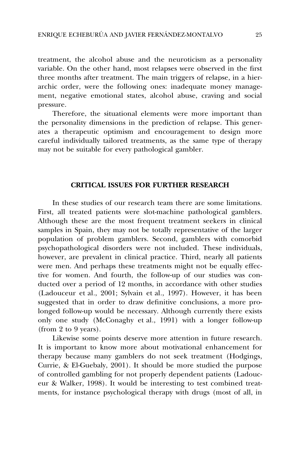treatment, the alcohol abuse and the neuroticism as a personality variable. On the other hand, most relapses were observed in the first three months after treatment. The main triggers of relapse, in a hierarchic order, were the following ones: inadequate money management, negative emotional states, alcohol abuse, craving and social pressure.

Therefore, the situational elements were more important than the personality dimensions in the prediction of relapse. This generates a therapeutic optimism and encouragement to design more careful individually tailored treatments, as the same type of therapy may not be suitable for every pathological gambler.

### CRITICAL ISSUES FOR FURTHER RESEARCH

In these studies of our research team there are some limitations. First, all treated patients were slot-machine pathological gamblers. Although these are the most frequent treatment seekers in clinical samples in Spain, they may not be totally representative of the larger population of problem gamblers. Second, gamblers with comorbid psychopathological disorders were not included. These individuals, however, are prevalent in clinical practice. Third, nearly all patients were men. And perhaps these treatments might not be equally effective for women. And fourth, the follow-up of our studies was conducted over a period of 12 months, in accordance with other studies (Ladouceur et al., 2001; Sylvain et al., 1997). However, it has been suggested that in order to draw definitive conclusions, a more prolonged follow-up would be necessary. Although currently there exists only one study (McConaghy et al., 1991) with a longer follow-up (from 2 to 9 years).

Likewise some points deserve more attention in future research. It is important to know more about motivational enhancement for therapy because many gamblers do not seek treatment (Hodgings, Currie, & El-Guebaly, 2001). It should be more studied the purpose of controlled gambling for not properly dependent patients (Ladouceur & Walker, 1998). It would be interesting to test combined treatments, for instance psychological therapy with drugs (most of all, in